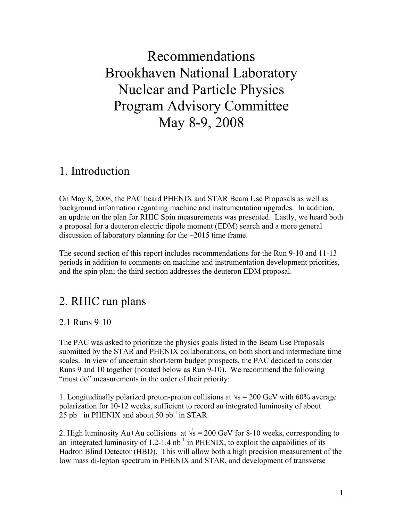Recommendations Brookhaven National Laboratory Nuclear and Particle Physics Program Advisory Committee May 8-9, 2008

## 1. Introduction

On May 8, 2008, the PAC heard PHENIX and STAR Beam Use Proposals as well as background information regarding machine and instrumentation upgrades. In addition, an update on the plan for RHIC Spin measurements was presented. Lastly, we heard both a proposal for a deuteron electric dipole moment (EDM) search and a more general discussion of laboratory planning for the ~2015 time frame.

The second section of this report includes recommendations for the Run 9-10 and 11-13 periods in addition to comments on machine and instrumentation development priorities, and the spin plan; the third section addresses the deuteron EDM proposal.

## 2. RHIC run plans

### 2.1 Runs 9-10

The PAC was asked to prioritize the physics goals listed in the Beam Use Proposals submitted by the STAR and PHENIX collaborations, on both short and intermediate time scales. In view of uncertain short-term budget prospects, the PAC decided to consider Runs 9 and 10 together (notated below as Run 9-10). We recommend the following "must do" measurements in the order of their priority:

1. Longitudinally polarized proton-proton collisions at  $\sqrt{s}$  = 200 GeV with 60% average polarization for 10-12 weeks, sufficient to record an integrated luminosity of about 25 pb<sup>-1</sup> in PHENIX and about 50 pb<sup>-1</sup> in STAR.

2. High luminosity Au+Au collisions at  $\sqrt{s} = 200$  GeV for 8-10 weeks, corresponding to an integrated luminosity of  $1.2$ -1.4 nb<sup>-1</sup> in PHENIX, to exploit the capabilities of its Hadron Blind Detector (HBD). This will allow both a high precision measurement of the low mass di-lepton spectrum in PHENIX and STAR, and development of transverse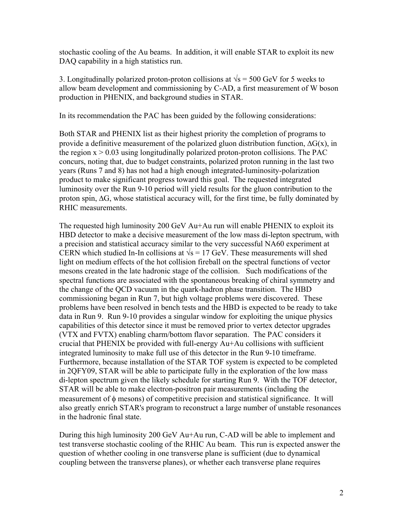stochastic cooling of the Au beams. In addition, it will enable STAR to exploit its new DAQ capability in a high statistics run.

3. Longitudinally polarized proton-proton collisions at  $\sqrt{s}$  = 500 GeV for 5 weeks to allow beam development and commissioning by C-AD, a first measurement of W boson production in PHENIX, and background studies in STAR.

In its recommendation the PAC has been guided by the following considerations:

Both STAR and PHENIX list as their highest priority the completion of programs to provide a definitive measurement of the polarized gluon distribution function,  $\Delta G(x)$ , in the region  $x > 0.03$  using longitudinally polarized proton-proton collisions. The PAC concurs, noting that, due to budget constraints, polarized proton running in the last two years (Runs 7 and 8) has not had a high enough integrated-luminosity-polarization product to make significant progress toward this goal. The requested integrated luminosity over the Run 9-10 period will yield results for the gluon contribution to the proton spin, ΔG, whose statistical accuracy will, for the first time, be fully dominated by RHIC measurements.

The requested high luminosity 200 GeV Au+Au run will enable PHENIX to exploit its HBD detector to make a decisive measurement of the low mass di-lepton spectrum, with a precision and statistical accuracy similar to the very successful NA60 experiment at CERN which studied In-In collisions at  $\sqrt{s}$  = 17 GeV. These measurements will shed light on medium effects of the hot collision fireball on the spectral functions of vector mesons created in the late hadronic stage of the collision. Such modifications of the spectral functions are associated with the spontaneous breaking of chiral symmetry and the change of the QCD vacuum in the quark-hadron phase transition. The HBD commissioning began in Run 7, but high voltage problems were discovered. These problems have been resolved in bench tests and the HBD is expected to be ready to take data in Run 9. Run 9-10 provides a singular window for exploiting the unique physics capabilities of this detector since it must be removed prior to vertex detector upgrades (VTX and FVTX) enabling charm/bottom flavor separation. The PAC considers it crucial that PHENIX be provided with full-energy Au+Au collisions with sufficient integrated luminosity to make full use of this detector in the Run 9-10 timeframe. Furthermore, because installation of the STAR TOF system is expected to be completed in 2QFY09, STAR will be able to participate fully in the exploration of the low mass di-lepton spectrum given the likely schedule for starting Run 9. With the TOF detector, STAR will be able to make electron-positron pair measurements (including the measurement of φ mesons) of competitive precision and statistical significance. It will also greatly enrich STAR's program to reconstruct a large number of unstable resonances in the hadronic final state.

During this high luminosity 200 GeV Au+Au run, C-AD will be able to implement and test transverse stochastic cooling of the RHIC Au beam. This run is expected answer the question of whether cooling in one transverse plane is sufficient (due to dynamical coupling between the transverse planes), or whether each transverse plane requires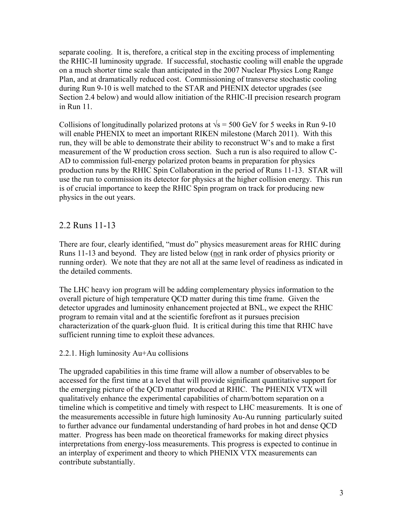separate cooling. It is, therefore, a critical step in the exciting process of implementing the RHIC-II luminosity upgrade. If successful, stochastic cooling will enable the upgrade on a much shorter time scale than anticipated in the 2007 Nuclear Physics Long Range Plan, and at dramatically reduced cost. Commissioning of transverse stochastic cooling during Run 9-10 is well matched to the STAR and PHENIX detector upgrades (see Section 2.4 below) and would allow initiation of the RHIC-II precision research program in Run 11.

Collisions of longitudinally polarized protons at  $\sqrt{s}$  = 500 GeV for 5 weeks in Run 9-10 will enable PHENIX to meet an important RIKEN milestone (March 2011). With this run, they will be able to demonstrate their ability to reconstruct W's and to make a first measurement of the W production cross section. Such a run is also required to allow C-AD to commission full-energy polarized proton beams in preparation for physics production runs by the RHIC Spin Collaboration in the period of Runs 11-13. STAR will use the run to commission its detector for physics at the higher collision energy. This run is of crucial importance to keep the RHIC Spin program on track for producing new physics in the out years.

## 2.2 Runs 11-13

There are four, clearly identified, "must do" physics measurement areas for RHIC during Runs 11-13 and beyond. They are listed below (not in rank order of physics priority or running order). We note that they are not all at the same level of readiness as indicated in the detailed comments.

The LHC heavy ion program will be adding complementary physics information to the overall picture of high temperature QCD matter during this time frame. Given the detector upgrades and luminosity enhancement projected at BNL, we expect the RHIC program to remain vital and at the scientific forefront as it pursues precision characterization of the quark-gluon fluid. It is critical during this time that RHIC have sufficient running time to exploit these advances.

#### 2.2.1. High luminosity Au+Au collisions

The upgraded capabilities in this time frame will allow a number of observables to be accessed for the first time at a level that will provide significant quantitative support for the emerging picture of the QCD matter produced at RHIC. The PHENIX VTX will qualitatively enhance the experimental capabilities of charm/bottom separation on a timeline which is competitive and timely with respect to LHC measurements. It is one of the measurements accessible in future high luminosity Au-Au running particularly suited to further advance our fundamental understanding of hard probes in hot and dense QCD matter. Progress has been made on theoretical frameworks for making direct physics interpretations from energy-loss measurements. This progress is expected to continue in an interplay of experiment and theory to which PHENIX VTX measurements can contribute substantially.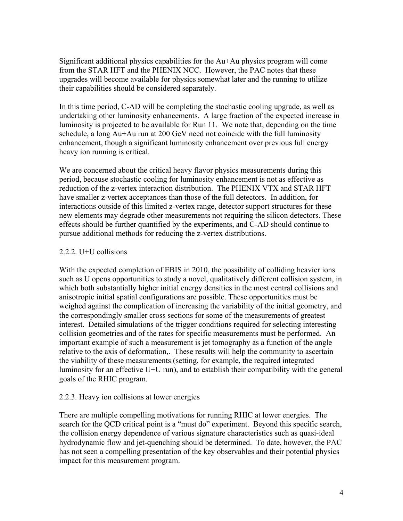Significant additional physics capabilities for the Au+Au physics program will come from the STAR HFT and the PHENIX NCC. However, the PAC notes that these upgrades will become available for physics somewhat later and the running to utilize their capabilities should be considered separately.

In this time period, C-AD will be completing the stochastic cooling upgrade, as well as undertaking other luminosity enhancements. A large fraction of the expected increase in luminosity is projected to be available for Run 11. We note that, depending on the time schedule, a long Au+Au run at 200 GeV need not coincide with the full luminosity enhancement, though a significant luminosity enhancement over previous full energy heavy ion running is critical.

We are concerned about the critical heavy flavor physics measurements during this period, because stochastic cooling for luminosity enhancement is not as effective as reduction of the z-vertex interaction distribution. The PHENIX VTX and STAR HFT have smaller z-vertex acceptances than those of the full detectors. In addition, for interactions outside of this limited z-vertex range, detector support structures for these new elements may degrade other measurements not requiring the silicon detectors. These effects should be further quantified by the experiments, and C-AD should continue to pursue additional methods for reducing the z-vertex distributions.

#### 2.2.2. U+U collisions

With the expected completion of EBIS in 2010, the possibility of colliding heavier ions such as U opens opportunities to study a novel, qualitatively different collision system, in which both substantially higher initial energy densities in the most central collisions and anisotropic initial spatial configurations are possible. These opportunities must be weighed against the complication of increasing the variability of the initial geometry, and the correspondingly smaller cross sections for some of the measurements of greatest interest. Detailed simulations of the trigger conditions required for selecting interesting collision geometries and of the rates for specific measurements must be performed. An important example of such a measurement is jet tomography as a function of the angle relative to the axis of deformation,. These results will help the community to ascertain the viability of these measurements (setting, for example, the required integrated luminosity for an effective U+U run), and to establish their compatibility with the general goals of the RHIC program.

#### 2.2.3. Heavy ion collisions at lower energies

There are multiple compelling motivations for running RHIC at lower energies. The search for the QCD critical point is a "must do" experiment. Beyond this specific search, the collision energy dependence of various signature characteristics such as quasi-ideal hydrodynamic flow and jet-quenching should be determined. To date, however, the PAC has not seen a compelling presentation of the key observables and their potential physics impact for this measurement program.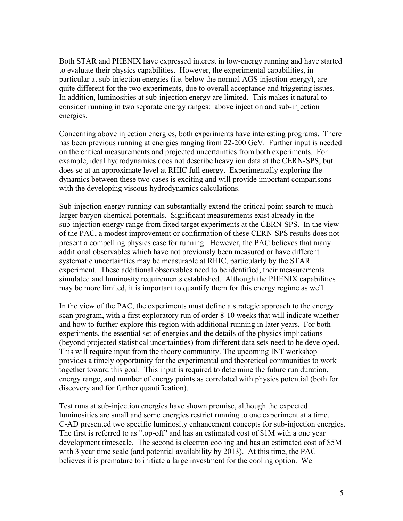Both STAR and PHENIX have expressed interest in low-energy running and have started to evaluate their physics capabilities. However, the experimental capabilities, in particular at sub-injection energies (i.e. below the normal AGS injection energy), are quite different for the two experiments, due to overall acceptance and triggering issues. In addition, luminosities at sub-injection energy are limited. This makes it natural to consider running in two separate energy ranges: above injection and sub-injection energies.

Concerning above injection energies, both experiments have interesting programs. There has been previous running at energies ranging from 22-200 GeV. Further input is needed on the critical measurements and projected uncertainties from both experiments. For example, ideal hydrodynamics does not describe heavy ion data at the CERN-SPS, but does so at an approximate level at RHIC full energy. Experimentally exploring the dynamics between these two cases is exciting and will provide important comparisons with the developing viscous hydrodynamics calculations.

Sub-injection energy running can substantially extend the critical point search to much larger baryon chemical potentials. Significant measurements exist already in the sub-injection energy range from fixed target experiments at the CERN-SPS. In the view of the PAC, a modest improvement or confirmation of these CERN-SPS results does not present a compelling physics case for running. However, the PAC believes that many additional observables which have not previously been measured or have different systematic uncertainties may be measurable at RHIC, particularly by the STAR experiment. These additional observables need to be identified, their measurements simulated and luminosity requirements established. Although the PHENIX capabilities may be more limited, it is important to quantify them for this energy regime as well.

In the view of the PAC, the experiments must define a strategic approach to the energy scan program, with a first exploratory run of order 8-10 weeks that will indicate whether and how to further explore this region with additional running in later years. For both experiments, the essential set of energies and the details of the physics implications (beyond projected statistical uncertainties) from different data sets need to be developed. This will require input from the theory community. The upcoming INT workshop provides a timely opportunity for the experimental and theoretical communities to work together toward this goal. This input is required to determine the future run duration, energy range, and number of energy points as correlated with physics potential (both for discovery and for further quantification).

Test runs at sub-injection energies have shown promise, although the expected luminosities are small and some energies restrict running to one experiment at a time. C-AD presented two specific luminosity enhancement concepts for sub-injection energies. The first is referred to as "top-off" and has an estimated cost of \$1M with a one year development timescale. The second is electron cooling and has an estimated cost of \$5M with 3 year time scale (and potential availability by 2013). At this time, the PAC believes it is premature to initiate a large investment for the cooling option. We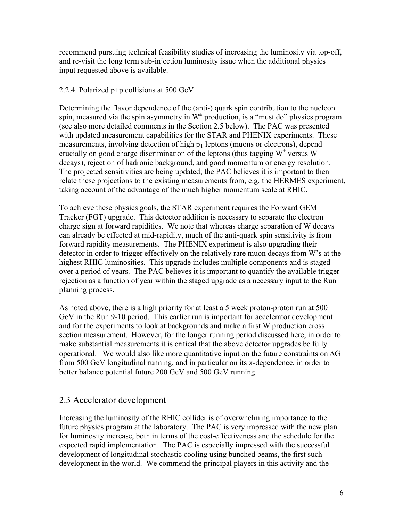recommend pursuing technical feasibility studies of increasing the luminosity via top-off, and re-visit the long term sub-injection luminosity issue when the additional physics input requested above is available.

#### 2.2.4. Polarized p+p collisions at 500 GeV

Determining the flavor dependence of the (anti-) quark spin contribution to the nucleon spin, measured via the spin asymmetry in  $W^{\pm}$  production, is a "must do" physics program (see also more detailed comments in the Section 2.5 below). The PAC was presented with updated measurement capabilities for the STAR and PHENIX experiments. These measurements, involving detection of high  $p_T$  leptons (muons or electrons), depend crucially on good charge discrimination of the leptons (thus tagging  $W^+$  versus  $W^$ decays), rejection of hadronic background, and good momentum or energy resolution. The projected sensitivities are being updated; the PAC believes it is important to then relate these projections to the existing measurements from, e.g. the HERMES experiment, taking account of the advantage of the much higher momentum scale at RHIC.

To achieve these physics goals, the STAR experiment requires the Forward GEM Tracker (FGT) upgrade. This detector addition is necessary to separate the electron charge sign at forward rapidities. We note that whereas charge separation of W decays can already be effected at mid-rapidity, much of the anti-quark spin sensitivity is from forward rapidity measurements. The PHENIX experiment is also upgrading their detector in order to trigger effectively on the relatively rare muon decays from W's at the highest RHIC luminosities. This upgrade includes multiple components and is staged over a period of years. The PAC believes it is important to quantify the available trigger rejection as a function of year within the staged upgrade as a necessary input to the Run planning process.

As noted above, there is a high priority for at least a 5 week proton-proton run at 500 GeV in the Run 9-10 period. This earlier run is important for accelerator development and for the experiments to look at backgrounds and make a first W production cross section measurement. However, for the longer running period discussed here, in order to make substantial measurements it is critical that the above detector upgrades be fully operational. We would also like more quantitative input on the future constraints on  $\Delta G$ from 500 GeV longitudinal running, and in particular on its x-dependence, in order to better balance potential future 200 GeV and 500 GeV running.

## 2.3 Accelerator development

Increasing the luminosity of the RHIC collider is of overwhelming importance to the future physics program at the laboratory. The PAC is very impressed with the new plan for luminosity increase, both in terms of the cost-effectiveness and the schedule for the expected rapid implementation. The PAC is especially impressed with the successful development of longitudinal stochastic cooling using bunched beams, the first such development in the world. We commend the principal players in this activity and the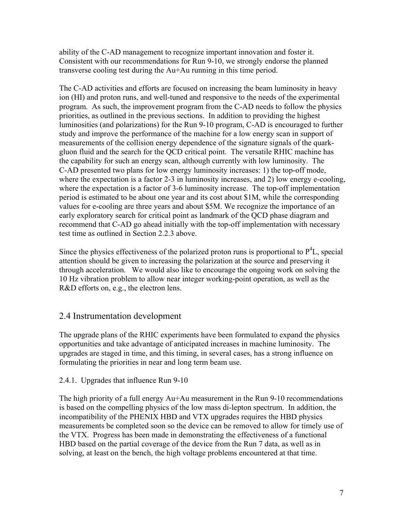ability of the C-AD management to recognize important innovation and foster it. Consistent with our recommendations for Run 9-10, we strongly endorse the planned transverse cooling test during the Au+Au running in this time period.

The C-AD activities and efforts are focused on increasing the beam luminosity in heavy ion (HI) and proton runs, and well-tuned and responsive to the needs of the experimental program. As such, the improvement program from the C-AD needs to follow the physics priorities, as outlined in the previous sections. In addition to providing the highest luminosities (and polarizations) for the Run 9-10 program, C-AD is encouraged to further study and improve the performance of the machine for a low energy scan in support of measurements of the collision energy dependence of the signature signals of the quarkgluon fluid and the search for the QCD critical point. The versatile RHIC machine has the capability for such an energy scan, although currently with low luminosity. The C-AD presented two plans for low energy luminosity increases: 1) the top-off mode, where the expectation is a factor 2-3 in luminosity increases, and 2) low energy e-cooling, where the expectation is a factor of 3-6 luminosity increase. The top-off implementation period is estimated to be about one year and its cost about \$1M, while the corresponding values for e-cooling are three years and about \$5M. We recognize the importance of an early exploratory search for critical point as landmark of the QCD phase diagram and recommend that C-AD go ahead initially with the top-off implementation with necessary test time as outlined in Section 2.2.3 above.

Since the physics effectiveness of the polarized proton runs is proportional to  $P<sup>4</sup>L$ , special attention should be given to increasing the polarization at the source and preserving it through acceleration. We would also like to encourage the ongoing work on solving the 10 Hz vibration problem to allow near integer working-point operation, as well as the R&D efforts on, e.g., the electron lens.

## 2.4 Instrumentation development

The upgrade plans of the RHIC experiments have been formulated to expand the physics opportunities and take advantage of anticipated increases in machine luminosity. The upgrades are staged in time, and this timing, in several cases, has a strong influence on formulating the priorities in near and long term beam use.

#### 2.4.1. Upgrades that influence Run 9-10

The high priority of a full energy Au+Au measurement in the Run 9-10 recommendations is based on the compelling physics of the low mass di-lepton spectrum. In addition, the incompatibility of the PHENIX HBD and VTX upgrades requires the HBD physics measurements be completed soon so the device can be removed to allow for timely use of the VTX. Progress has been made in demonstrating the effectiveness of a functional HBD based on the partial coverage of the device from the Run 7 data, as well as in solving, at least on the bench, the high voltage problems encountered at that time.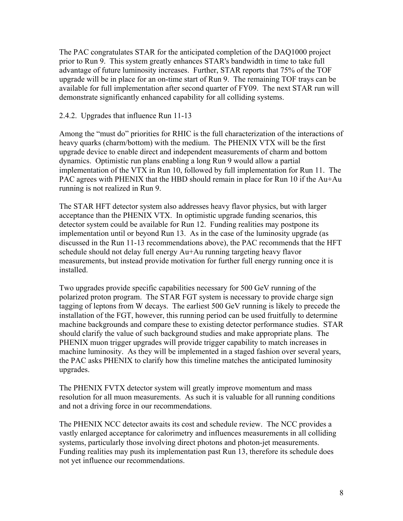The PAC congratulates STAR for the anticipated completion of the DAQ1000 project prior to Run 9. This system greatly enhances STAR's bandwidth in time to take full advantage of future luminosity increases. Further, STAR reports that 75% of the TOF upgrade will be in place for an on-time start of Run 9. The remaining TOF trays can be available for full implementation after second quarter of FY09. The next STAR run will demonstrate significantly enhanced capability for all colliding systems.

2.4.2. Upgrades that influence Run 11-13

Among the "must do" priorities for RHIC is the full characterization of the interactions of heavy quarks (charm/bottom) with the medium. The PHENIX VTX will be the first upgrade device to enable direct and independent measurements of charm and bottom dynamics. Optimistic run plans enabling a long Run 9 would allow a partial implementation of the VTX in Run 10, followed by full implementation for Run 11. The PAC agrees with PHENIX that the HBD should remain in place for Run 10 if the Au+Au running is not realized in Run 9.

The STAR HFT detector system also addresses heavy flavor physics, but with larger acceptance than the PHENIX VTX. In optimistic upgrade funding scenarios, this detector system could be available for Run 12. Funding realities may postpone its implementation until or beyond Run 13. As in the case of the luminosity upgrade (as discussed in the Run 11-13 recommendations above), the PAC recommends that the HFT schedule should not delay full energy Au+Au running targeting heavy flavor measurements, but instead provide motivation for further full energy running once it is installed.

Two upgrades provide specific capabilities necessary for 500 GeV running of the polarized proton program. The STAR FGT system is necessary to provide charge sign tagging of leptons from W decays. The earliest 500 GeV running is likely to precede the installation of the FGT, however, this running period can be used fruitfully to determine machine backgrounds and compare these to existing detector performance studies. STAR should clarify the value of such background studies and make appropriate plans. The PHENIX muon trigger upgrades will provide trigger capability to match increases in machine luminosity. As they will be implemented in a staged fashion over several years, the PAC asks PHENIX to clarify how this timeline matches the anticipated luminosity upgrades.

The PHENIX FVTX detector system will greatly improve momentum and mass resolution for all muon measurements. As such it is valuable for all running conditions and not a driving force in our recommendations.

The PHENIX NCC detector awaits its cost and schedule review. The NCC provides a vastly enlarged acceptance for calorimetry and influences measurements in all colliding systems, particularly those involving direct photons and photon-jet measurements. Funding realities may push its implementation past Run 13, therefore its schedule does not yet influence our recommendations.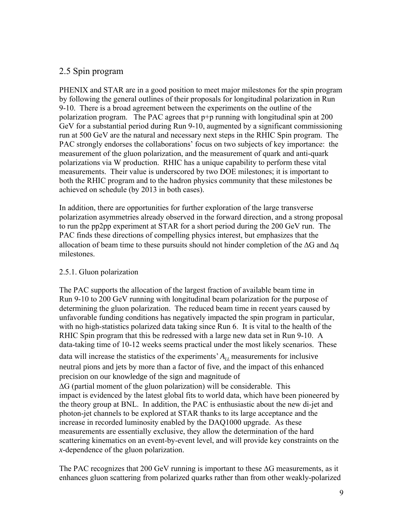## 2.5 Spin program

PHENIX and STAR are in a good position to meet major milestones for the spin program by following the general outlines of their proposals for longitudinal polarization in Run 9-10. There is a broad agreement between the experiments on the outline of the polarization program. The PAC agrees that p+p running with longitudinal spin at 200 GeV for a substantial period during Run 9-10, augmented by a significant commissioning run at 500 GeV are the natural and necessary next steps in the RHIC Spin program. The PAC strongly endorses the collaborations' focus on two subjects of key importance: the measurement of the gluon polarization, and the measurement of quark and anti-quark polarizations via W production. RHIC has a unique capability to perform these vital measurements. Their value is underscored by two DOE milestones; it is important to both the RHIC program and to the hadron physics community that these milestones be achieved on schedule (by 2013 in both cases).

In addition, there are opportunities for further exploration of the large transverse polarization asymmetries already observed in the forward direction, and a strong proposal to run the pp2pp experiment at STAR for a short period during the 200 GeV run. The PAC finds these directions of compelling physics interest, but emphasizes that the allocation of beam time to these pursuits should not hinder completion of the  $\Delta G$  and  $\Delta q$ milestones.

#### 2.5.1. Gluon polarization

The PAC supports the allocation of the largest fraction of available beam time in Run 9-10 to 200 GeV running with longitudinal beam polarization for the purpose of determining the gluon polarization. The reduced beam time in recent years caused by unfavorable funding conditions has negatively impacted the spin program in particular, with no high-statistics polarized data taking since Run 6. It is vital to the health of the RHIC Spin program that this be redressed with a large new data set in Run 9-10. A data-taking time of 10-12 weeks seems practical under the most likely scenarios. These data will increase the statistics of the experiments'  $A_{LL}$  measurements for inclusive neutral pions and jets by more than a factor of five, and the impact of this enhanced precision on our knowledge of the sign and magnitude of ΔG (partial moment of the gluon polarization) will be considerable. This impact is evidenced by the latest global fits to world data, which have been pioneered by the theory group at BNL. In addition, the PAC is enthusiastic about the new di-jet and photon-jet channels to be explored at STAR thanks to its large acceptance and the increase in recorded luminosity enabled by the DAQ1000 upgrade. As these measurements are essentially exclusive, they allow the determination of the hard scattering kinematics on an event-by-event level, and will provide key constraints on the *x*-dependence of the gluon polarization.

The PAC recognizes that 200 GeV running is important to these  $\Delta G$  measurements, as it enhances gluon scattering from polarized quarks rather than from other weakly-polarized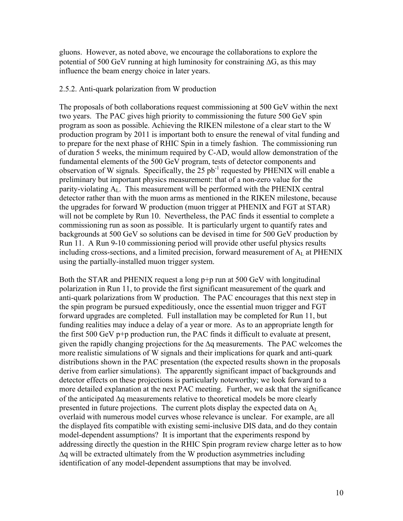gluons. However, as noted above, we encourage the collaborations to explore the potential of 500 GeV running at high luminosity for constraining  $\Delta G$ , as this may influence the beam energy choice in later years.

#### 2.5.2. Anti-quark polarization from W production

The proposals of both collaborations request commissioning at 500 GeV within the next two years. The PAC gives high priority to commissioning the future 500 GeV spin program as soon as possible. Achieving the RIKEN milestone of a clear start to the W production program by 2011 is important both to ensure the renewal of vital funding and to prepare for the next phase of RHIC Spin in a timely fashion. The commissioning run of duration 5 weeks, the minimum required by C-AD, would allow demonstration of the fundamental elements of the 500 GeV program, tests of detector components and observation of W signals. Specifically, the  $25$  pb<sup>-1</sup> requested by PHENIX will enable a preliminary but important physics measurement: that of a non-zero value for the parity-violating  $A_L$ . This measurement will be performed with the PHENIX central detector rather than with the muon arms as mentioned in the RIKEN milestone, because the upgrades for forward W production (muon trigger at PHENIX and FGT at STAR) will not be complete by Run 10. Nevertheless, the PAC finds it essential to complete a commissioning run as soon as possible. It is particularly urgent to quantify rates and backgrounds at 500 GeV so solutions can be devised in time for 500 GeV production by Run 11. A Run 9-10 commissioning period will provide other useful physics results including cross-sections, and a limited precision, forward measurement of  $A_L$  at PHENIX using the partially-installed muon trigger system.

Both the STAR and PHENIX request a long p+p run at 500 GeV with longitudinal polarization in Run 11, to provide the first significant measurement of the quark and anti-quark polarizations from W production. The PAC encourages that this next step in the spin program be pursued expeditiously, once the essential muon trigger and FGT forward upgrades are completed. Full installation may be completed for Run 11, but funding realities may induce a delay of a year or more. As to an appropriate length for the first 500 GeV p+p production run, the PAC finds it difficult to evaluate at present, given the rapidly changing projections for the Δq measurements. The PAC welcomes the more realistic simulations of W signals and their implications for quark and anti-quark distributions shown in the PAC presentation (the expected results shown in the proposals derive from earlier simulations). The apparently significant impact of backgrounds and detector effects on these projections is particularly noteworthy; we look forward to a more detailed explanation at the next PAC meeting. Further, we ask that the significance of the anticipated Δq measurements relative to theoretical models be more clearly presented in future projections. The current plots display the expected data on  $A_L$ overlaid with numerous model curves whose relevance is unclear. For example, are all the displayed fits compatible with existing semi-inclusive DIS data, and do they contain model-dependent assumptions? It is important that the experiments respond by addressing directly the question in the RHIC Spin program review charge letter as to how Δq will be extracted ultimately from the W production asymmetries including identification of any model-dependent assumptions that may be involved.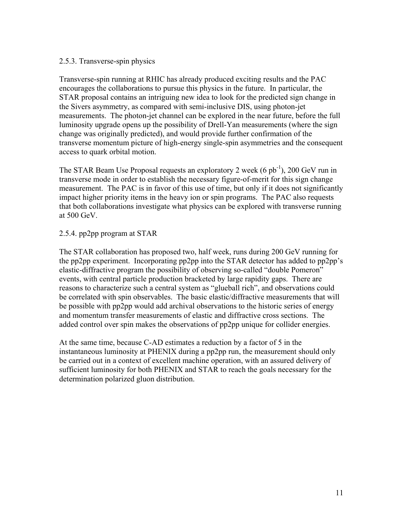#### 2.5.3. Transverse-spin physics

Transverse-spin running at RHIC has already produced exciting results and the PAC encourages the collaborations to pursue this physics in the future. In particular, the STAR proposal contains an intriguing new idea to look for the predicted sign change in the Sivers asymmetry, as compared with semi-inclusive DIS, using photon-jet measurements. The photon-jet channel can be explored in the near future, before the full luminosity upgrade opens up the possibility of Drell-Yan measurements (where the sign change was originally predicted), and would provide further confirmation of the transverse momentum picture of high-energy single-spin asymmetries and the consequent access to quark orbital motion.

The STAR Beam Use Proposal requests an exploratory 2 week  $(6 pb<sup>-1</sup>)$ , 200 GeV run in transverse mode in order to establish the necessary figure-of-merit for this sign change measurement. The PAC is in favor of this use of time, but only if it does not significantly impact higher priority items in the heavy ion or spin programs. The PAC also requests that both collaborations investigate what physics can be explored with transverse running at 500 GeV.

#### 2.5.4. pp2pp program at STAR

The STAR collaboration has proposed two, half week, runs during 200 GeV running for the pp2pp experiment. Incorporating pp2pp into the STAR detector has added to pp2pp's elastic-diffractive program the possibility of observing so-called "double Pomeron" events, with central particle production bracketed by large rapidity gaps. There are reasons to characterize such a central system as "glueball rich", and observations could be correlated with spin observables. The basic elastic/diffractive measurements that will be possible with pp2pp would add archival observations to the historic series of energy and momentum transfer measurements of elastic and diffractive cross sections. The added control over spin makes the observations of pp2pp unique for collider energies.

At the same time, because C-AD estimates a reduction by a factor of 5 in the instantaneous luminosity at PHENIX during a pp2pp run, the measurement should only be carried out in a context of excellent machine operation, with an assured delivery of sufficient luminosity for both PHENIX and STAR to reach the goals necessary for the determination polarized gluon distribution.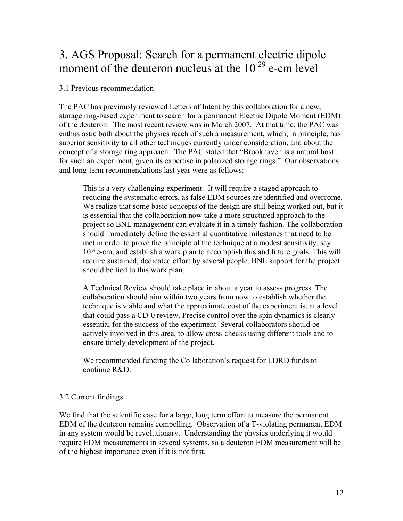# 3. AGS Proposal: Search for a permanent electric dipole moment of the deuteron nucleus at the  $10^{-29}$  e-cm level

#### 3.1 Previous recommendation

The PAC has previously reviewed Letters of Intent by this collaboration for a new, storage ring-based experiment to search for a permanent Electric Dipole Moment (EDM) of the deuteron. The most recent review was in March 2007. At that time, the PAC was enthusiastic both about the physics reach of such a measurement, which, in principle, has superior sensitivity to all other techniques currently under consideration, and about the concept of a storage ring approach. The PAC stated that "Brookhaven is a natural host for such an experiment, given its expertise in polarized storage rings." Our observations and long-term recommendations last year were as follows:

This is a very challenging experiment. It will require a staged approach to reducing the systematic errors, as false EDM sources are identified and overcome. We realize that some basic concepts of the design are still being worked out, but it is essential that the collaboration now take a more structured approach to the project so BNL management can evaluate it in a timely fashion. The collaboration should immediately define the essential quantitative milestones that need to be met in order to prove the principle of the technique at a modest sensitivity, say  $10<sup>26</sup>$  e-cm, and establish a work plan to accomplish this and future goals. This will require sustained, dedicated effort by several people. BNL support for the project should be tied to this work plan.

A Technical Review should take place in about a year to assess progress. The collaboration should aim within two years from now to establish whether the technique is viable and what the approximate cost of the experiment is, at a level that could pass a CD-0 review. Precise control over the spin dynamics is clearly essential for the success of the experiment. Several collaborators should be actively involved in this area, to allow cross-checks using different tools and to ensure timely development of the project.

We recommended funding the Collaboration's request for LDRD funds to continue R&D.

### 3.2 Current findings

We find that the scientific case for a large, long term effort to measure the permanent EDM of the deuteron remains compelling. Observation of a T-violating permanent EDM in any system would be revolutionary. Understanding the physics underlying it would require EDM measurements in several systems, so a deuteron EDM measurement will be of the highest importance even if it is not first.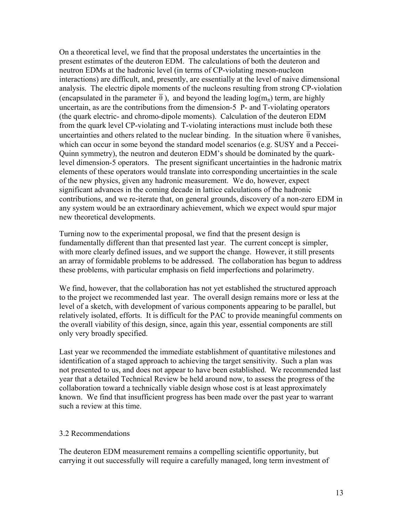On a theoretical level, we find that the proposal understates the uncertainties in the present estimates of the deuteron EDM. The calculations of both the deuteron and neutron EDMs at the hadronic level (in terms of CP-violating meson-nucleon interactions) are difficult, and, presently, are essentially at the level of naive dimensional analysis. The electric dipole moments of the nucleons resulting from strong CP-violation (encapsulated in the parameter  $\overline{\theta}$ ), and beyond the leading  $\log(m_{\pi})$  term, are highly uncertain, as are the contributions from the dimension-5 P- and T-violating operators (the quark electric- and chromo-dipole moments). Calculation of the deuteron EDM from the quark level CP-violating and T-violating interactions must include both these uncertainties and others related to the nuclear binding. In the situation where  $\overline{\theta}$  vanishes, which can occur in some beyond the standard model scenarios (e.g. SUSY and a Peccei-Quinn symmetry), the neutron and deuteron EDM's should be dominated by the quarklevel dimension-5 operators. The present significant uncertainties in the hadronic matrix elements of these operators would translate into corresponding uncertainties in the scale of the new physics, given any hadronic measurement. We do, however, expect significant advances in the coming decade in lattice calculations of the hadronic contributions, and we re-iterate that, on general grounds, discovery of a non-zero EDM in any system would be an extraordinary achievement, which we expect would spur major new theoretical developments.

Turning now to the experimental proposal, we find that the present design is fundamentally different than that presented last year. The current concept is simpler, with more clearly defined issues, and we support the change. However, it still presents an array of formidable problems to be addressed. The collaboration has begun to address these problems, with particular emphasis on field imperfections and polarimetry.

We find, however, that the collaboration has not yet established the structured approach to the project we recommended last year. The overall design remains more or less at the level of a sketch, with development of various components appearing to be parallel, but relatively isolated, efforts. It is difficult for the PAC to provide meaningful comments on the overall viability of this design, since, again this year, essential components are still only very broadly specified.

Last year we recommended the immediate establishment of quantitative milestones and identification of a staged approach to achieving the target sensitivity. Such a plan was not presented to us, and does not appear to have been established. We recommended last year that a detailed Technical Review be held around now, to assess the progress of the collaboration toward a technically viable design whose cost is at least approximately known. We find that insufficient progress has been made over the past year to warrant such a review at this time.

#### 3.2 Recommendations

The deuteron EDM measurement remains a compelling scientific opportunity, but carrying it out successfully will require a carefully managed, long term investment of